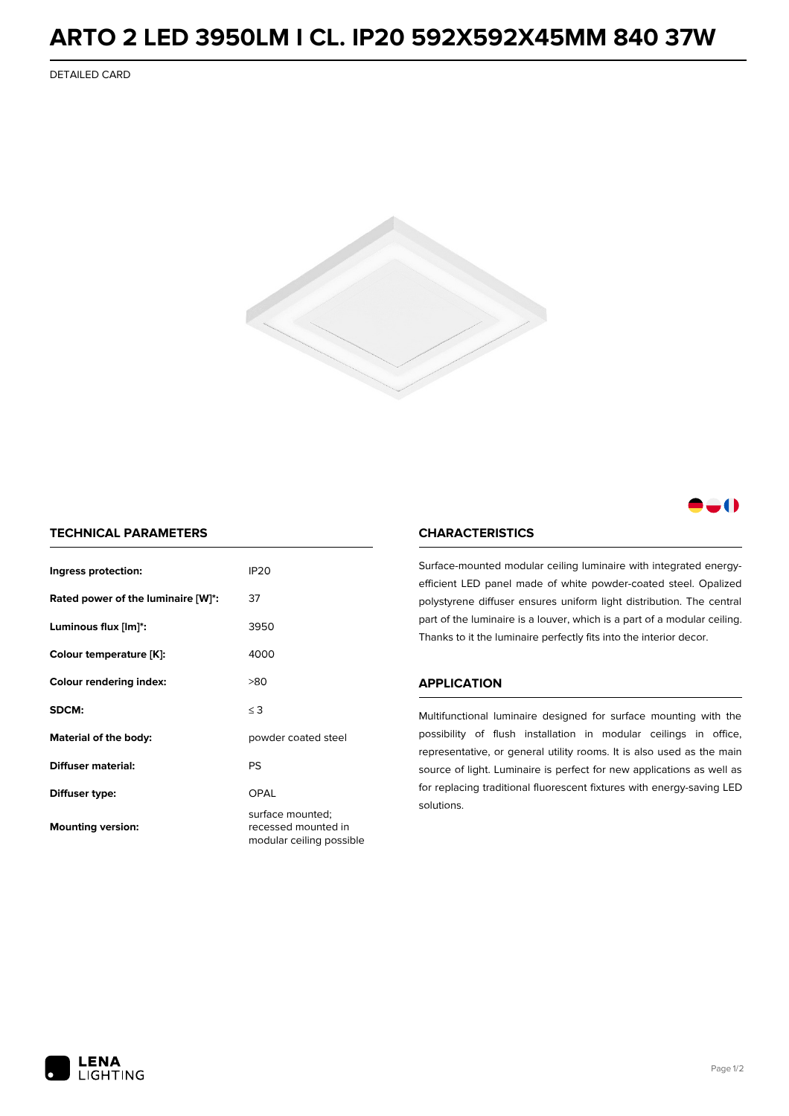## **ARTO 2 LED 3950LM I CL. IP20 592X592X45MM 840 37W**

DETAILED CARD



### -0

### **TECHNICAL PARAMETERS**

| Ingress protection:                | <b>IP20</b>                                                         |  |
|------------------------------------|---------------------------------------------------------------------|--|
| Rated power of the luminaire [W]*: | 37                                                                  |  |
| Luminous flux [lm]*:               | 3950                                                                |  |
| Colour temperature [K]:            | 4000                                                                |  |
| <b>Colour rendering index:</b>     | >80                                                                 |  |
| SDCM:                              | $\leq$ 3                                                            |  |
| Material of the body:              | powder coated steel                                                 |  |
| Diffuser material:                 | PS                                                                  |  |
| Diffuser type:                     | OPAL                                                                |  |
| <b>Mounting version:</b>           | surface mounted;<br>recessed mounted in<br>modular ceiling possible |  |

### **CHARACTERISTICS**

Surface-mounted modular ceiling luminaire with integrated energyefficient LED panel made of white powder-coated steel. Opalized polystyrene diffuser ensures uniform light distribution. The central part of the luminaire is a louver, which is a part of a modular ceiling. Thanks to it the luminaire perfectly fits into the interior decor.

#### **APPLICATION**

Multifunctional luminaire designed for surface mounting with the possibility of flush installation in modular ceilings in office, representative, or general utility rooms. It is also used as the main source of light. Luminaire is perfect for new applications as well as for replacing traditional fluorescent fixtures with energy-saving LED solutions.